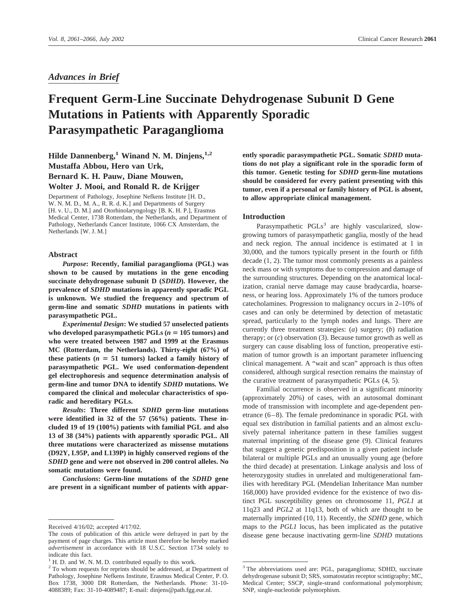*Advances in Brief*

# **Frequent Germ-Line Succinate Dehydrogenase Subunit D Gene Mutations in Patients with Apparently Sporadic Parasympathetic Paraganglioma**

**Hilde Dannenberg,1 Winand N. M. Dinjens,1,2 Mustaffa Abbou, Hero van Urk, Bernard K. H. Pauw, Diane Mouwen,**

# **Wolter J. Mooi, and Ronald R. de Krijger**

Department of Pathology, Josephine Nefkens Institute [H. D., W. N. M. D., M. A., R. R. d. K.] and Departments of Surgery [H. v. U., D. M.] and Otorhinolaryngology [B. K. H. P.], Erasmus Medical Center, 1738 Rotterdam, the Netherlands, and Department of Pathology, Netherlands Cancer Institute, 1066 CX Amsterdam, the Netherlands [W. J. M.]

# **Abstract**

*Purpose***: Recently, familial paraganglioma (PGL) was shown to be caused by mutations in the gene encoding succinate dehydrogenase subunit D (***SDHD***). However, the prevalence of** *SDHD* **mutations in apparently sporadic PGL is unknown. We studied the frequency and spectrum of germ-line and somatic** *SDHD* **mutations in patients with parasympathetic PGL.**

*Experimental Design***: We studied 57 unselected patients** who developed parasympathetic  $PGLs$  ( $n = 105$  tumors) and **who were treated between 1987 and 1999 at the Erasmus MC (Rotterdam, the Netherlands). Thirty-eight (67%) of** these patients  $(n = 51$  tumors) lacked a family history of **parasympathetic PGL. We used conformation-dependent gel electrophoresis and sequence determination analysis of germ-line and tumor DNA to identify** *SDHD* **mutations. We compared the clinical and molecular characteristics of sporadic and hereditary PGLs.**

*Results***: Three different** *SDHD* **germ-line mutations were identified in 32 of the 57 (56%) patients. These included 19 of 19 (100%) patients with familial PGL and also 13 of 38 (34%) patients with apparently sporadic PGL. All three mutations were characterized as missense mutations (D92Y, L95P, and L139P) in highly conserved regions of the** *SDHD* **gene and were not observed in 200 control alleles. No somatic mutations were found.**

*Conclusions***: Germ-line mutations of the** *SDHD* **gene are present in a significant number of patients with appar-** **ently sporadic parasympathetic PGL. Somatic** *SDHD* **mutations do not play a significant role in the sporadic form of this tumor. Genetic testing for** *SDHD* **germ-line mutations should be considered for every patient presenting with this tumor, even if a personal or family history of PGL is absent, to allow appropriate clinical management.**

# **Introduction**

Parasympathetic PGLs<sup>3</sup> are highly vascularized, slowgrowing tumors of parasympathetic ganglia, mostly of the head and neck region. The annual incidence is estimated at 1 in 30,000, and the tumors typically present in the fourth or fifth decade (1, 2). The tumor most commonly presents as a painless neck mass or with symptoms due to compression and damage of the surrounding structures. Depending on the anatomical localization, cranial nerve damage may cause bradycardia, hoarseness, or hearing loss. Approximately 1% of the tumors produce catecholamines. Progression to malignancy occurs in 2–10% of cases and can only be determined by detection of metastatic spread, particularly to the lymph nodes and lungs. There are currently three treatment strategies: (*a*) surgery; (*b*) radiation therapy; or (*c*) observation (3). Because tumor growth as well as surgery can cause disabling loss of function, preoperative estimation of tumor growth is an important parameter influencing clinical management. A "wait and scan" approach is thus often considered, although surgical resection remains the mainstay of the curative treatment of parasympathetic PGLs (4, 5).

Familial occurrence is observed in a significant minority (approximately 20%) of cases, with an autosomal dominant mode of transmission with incomplete and age-dependent penetrance (6–8). The female predominance in sporadic PGL with equal sex distribution in familial patients and an almost exclusively paternal inheritance pattern in these families suggest maternal imprinting of the disease gene (9). Clinical features that suggest a genetic predisposition in a given patient include bilateral or multiple PGLs and an unusually young age (before the third decade) at presentation. Linkage analysis and loss of heterozygosity studies in unrelated and multigenerational families with hereditary PGL (Mendelian Inheritance Man number 168,000) have provided evidence for the existence of two distinct PGL susceptibility genes on chromosome 11, *PGL1* at 11q23 and *PGL2* at 11q13, both of which are thought to be maternally imprinted (10, 11). Recently, the *SDHD* gene, which maps to the *PGL1* locus, has been implicated as the putative disease gene because inactivating germ-line *SDHD* mutations

Received 4/16/02; accepted 4/17/02.

The costs of publication of this article were defrayed in part by the payment of page charges. This article must therefore be hereby marked *advertisement* in accordance with 18 U.S.C. Section 1734 solely to indicate this fact.

<sup>1</sup> H. D. and W. N. M. D. contributed equally to this work.

<sup>&</sup>lt;sup>2</sup> To whom requests for reprints should be addressed, at Department of Pathology, Josephine Nefkens Institute, Erasmus Medical Center, P. O. Box 1738, 3000 DR Rotterdam, the Netherlands. Phone: 31-10- 4088389; Fax: 31-10-4089487; E-mail: dinjens@path.fgg.eur.nl.

<sup>3</sup> The abbreviations used are: PGL, paraganglioma; SDHD, succinate dehydrogenase subunit D; SRS, somatostatin receptor scintigraphy; MC, Medical Center; SSCP, single-strand conformational polymorphism; SNP, single-nucleotide polymorphism.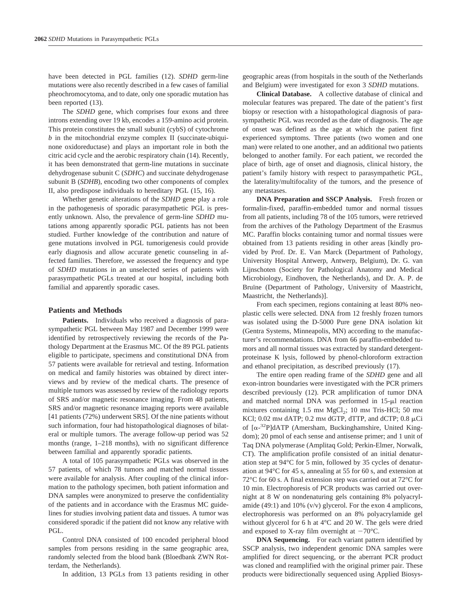have been detected in PGL families (12). *SDHD* germ-line mutations were also recently described in a few cases of familial pheochromocytoma, and to date, only one sporadic mutation has been reported (13).

The *SDHD* gene, which comprises four exons and three introns extending over 19 kb, encodes a 159-amino acid protein. This protein constitutes the small subunit (cybS) of cytochrome *b* in the mitochondrial enzyme complex II (succinate-ubiquinone oxidoreductase) and plays an important role in both the citric acid cycle and the aerobic respiratory chain (14). Recently, it has been demonstrated that germ-line mutations in succinate dehydrogenase subunit C (*SDHC*) and succinate dehydrogenase subunit B (*SDHB*), encoding two other components of complex II, also predispose individuals to hereditary PGL (15, 16).

Whether genetic alterations of the *SDHD* gene play a role in the pathogenesis of sporadic parasympathetic PGL is presently unknown. Also, the prevalence of germ-line *SDHD* mutations among apparently sporadic PGL patients has not been studied. Further knowledge of the contribution and nature of gene mutations involved in PGL tumorigenesis could provide early diagnosis and allow accurate genetic counseling in affected families. Therefore, we assessed the frequency and type of *SDHD* mutations in an unselected series of patients with parasympathetic PGLs treated at our hospital, including both familial and apparently sporadic cases.

#### **Patients and Methods**

**Patients.** Individuals who received a diagnosis of parasympathetic PGL between May 1987 and December 1999 were identified by retrospectively reviewing the records of the Pathology Department at the Erasmus MC. Of the 89 PGL patients eligible to participate, specimens and constitutional DNA from 57 patients were available for retrieval and testing. Information on medical and family histories was obtained by direct interviews and by review of the medical charts. The presence of multiple tumors was assessed by review of the radiology reports of SRS and/or magnetic resonance imaging. From 48 patients, SRS and/or magnetic resonance imaging reports were available [41 patients (72%) underwent SRS]. Of the nine patients without such information, four had histopathological diagnoses of bilateral or multiple tumors. The average follow-up period was 52 months (range, 1–218 months), with no significant difference between familial and apparently sporadic patients.

A total of 105 parasympathetic PGLs was observed in the 57 patients, of which 78 tumors and matched normal tissues were available for analysis. After coupling of the clinical information to the pathology specimen, both patient information and DNA samples were anonymized to preserve the confidentiality of the patients and in accordance with the Erasmus MC guidelines for studies involving patient data and tissues. A tumor was considered sporadic if the patient did not know any relative with PGL.

Control DNA consisted of 100 encoded peripheral blood samples from persons residing in the same geographic area, randomly selected from the blood bank (Bloedbank ZWN Rotterdam, the Netherlands).

In addition, 13 PGLs from 13 patients residing in other

geographic areas (from hospitals in the south of the Netherlands and Belgium) were investigated for exon 3 *SDHD* mutations.

**Clinical Database.** A collective database of clinical and molecular features was prepared. The date of the patient's first biopsy or resection with a histopathological diagnosis of parasympathetic PGL was recorded as the date of diagnosis. The age of onset was defined as the age at which the patient first experienced symptoms. Three patients (two women and one man) were related to one another, and an additional two patients belonged to another family. For each patient, we recorded the place of birth, age of onset and diagnosis, clinical history, the patient's family history with respect to parasympathetic PGL, the laterality/multifocality of the tumors, and the presence of any metastases.

**DNA Preparation and SSCP Analysis.** Fresh frozen or formalin-fixed, paraffin-embedded tumor and normal tissues from all patients, including 78 of the 105 tumors, were retrieved from the archives of the Pathology Department of the Erasmus MC. Paraffin blocks containing tumor and normal tissues were obtained from 13 patients residing in other areas [kindly provided by Prof. Dr. E. Van Marck (Department of Pathology, University Hospital Antwerp, Antwerp, Belgium), Dr. G. van Lijnschoten (Society for Pathological Anatomy and Medical Microbiology, Eindhoven, the Netherlands), and Dr. A. P. de Bruïne (Department of Pathology, University of Maastricht, Maastricht, the Netherlands)].

From each specimen, regions containing at least 80% neoplastic cells were selected. DNA from 12 freshly frozen tumors was isolated using the D-5000 Pure gene DNA isolation kit (Gentra Systems, Minneapolis, MN) according to the manufacturer's recommendations. DNA from 66 paraffin-embedded tumors and all normal tissues was extracted by standard detergentproteinase K lysis, followed by phenol-chloroform extraction and ethanol precipitation, as described previously (17).

The entire open reading frame of the *SDHD* gene and all exon-intron boundaries were investigated with the PCR primers described previously (12). PCR amplification of tumor DNA and matched normal DNA was performed in  $15-\mu l$  reaction mixtures containing  $1.5$  mm  $MgCl<sub>2</sub>$ ;  $10$  mm Tris-HCl;  $50$  mm KCl; 0.02 mm dATP; 0.2 mm dGTP, dTTP, and dCTP; 0.8  $\mu$ Ci of  $[\alpha^{-32}P]dATP$  (Amersham, Buckinghamshire, United Kingdom); 20 pmol of each sense and antisense primer; and 1 unit of Taq DNA polymerase (Amplitaq Gold; Perkin-Elmer, Norwalk, CT). The amplification profile consisted of an initial denaturation step at 94°C for 5 min, followed by 35 cycles of denaturation at 94°C for 45 s, annealing at 55 for 60 s, and extension at 72°C for 60 s. A final extension step was carried out at 72°C for 10 min. Electrophoresis of PCR products was carried out overnight at 8 W on nondenaturing gels containing 8% polyacrylamide (49:1) and 10% (v/v) glycerol. For the exon 4 amplicons, electrophoresis was performed on an 8% polyacrylamide gel without glycerol for 6 h at 4°C and 20 W. The gels were dried and exposed to X-ray film overnight at  $-70^{\circ}$ C.

**DNA Sequencing.** For each variant pattern identified by SSCP analysis, two independent genomic DNA samples were amplified for direct sequencing, or the aberrant PCR product was cloned and reamplified with the original primer pair. These products were bidirectionally sequenced using Applied Biosys-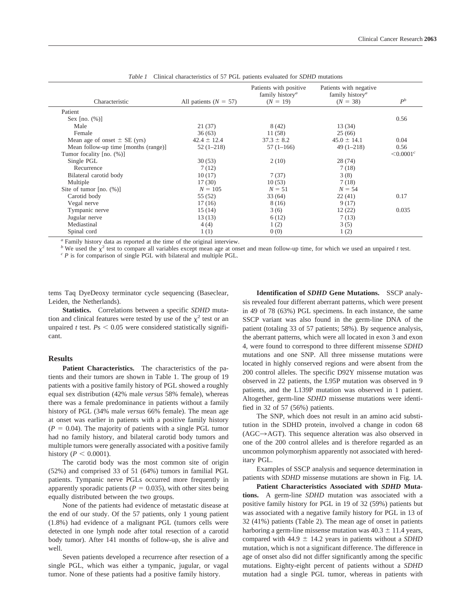| Characteristic                       | All patients ( $N = 57$ ) | Patients with positive<br>family history <sup>a</sup><br>$(N = 19)$ | Patients with negative<br>family history <sup><i>a</i></sup><br>$(N = 38)$ | $P^b$           |
|--------------------------------------|---------------------------|---------------------------------------------------------------------|----------------------------------------------------------------------------|-----------------|
| Patient                              |                           |                                                                     |                                                                            |                 |
| Sex $[no. (%)]$                      |                           |                                                                     |                                                                            | 0.56            |
| Male                                 | 21(37)                    | 8 (42)                                                              | 13 (34)                                                                    |                 |
| Female                               | 36(63)                    | 11 (58)                                                             | 25(66)                                                                     |                 |
| Mean age of onset $\pm$ SE (yrs)     | $42.4 \pm 12.4$           | $37.3 \pm 8.2$                                                      | $45.0 \pm 14.1$                                                            | 0.04            |
| Mean follow-up time [months (range)] | $52(1-218)$               | $57(1-166)$                                                         | $49(1 - 218)$                                                              | 0.56            |
| Tumor focality [no. (%)]             |                           |                                                                     |                                                                            | $\leq 0.0001^c$ |
| Single PGL                           | 30(53)                    | 2(10)                                                               | 28(74)                                                                     |                 |
| Recurrence                           | 7(12)                     |                                                                     | 7(18)                                                                      |                 |
| Bilateral carotid body               | 10(17)                    | 7(37)                                                               | 3(8)                                                                       |                 |
| Multiple                             | 17(30)                    | 10(53)                                                              | 7(18)                                                                      |                 |
| Site of tumor $[no. (%)]$            | $N = 105$                 | $N = 51$                                                            | $N = 54$                                                                   |                 |
| Carotid body                         | 55 (52)                   | 33(64)                                                              | 22(41)                                                                     | 0.17            |
| Vegal nerve                          | 17 (16)                   | 8 (16)                                                              | 9(17)                                                                      |                 |
| Tympanic nerve                       | 15(14)                    | 3(6)                                                                | 12(22)                                                                     | 0.035           |
| Jugular nerve                        | 13(13)                    | 6(12)                                                               | 7(13)                                                                      |                 |
| Mediastinal                          | 4(4)                      | 1(2)                                                                | 3(5)                                                                       |                 |
| Spinal cord                          | 1(1)                      | 0(0)                                                                | 1(2)                                                                       |                 |

| <i>Table 1</i> Clinical characteristics of 57 PGL patients evaluated for <i>SDHD</i> mutations |  |
|------------------------------------------------------------------------------------------------|--|
|------------------------------------------------------------------------------------------------|--|

*<sup>a</sup>* Family history data as reported at the time of the original interview.

<sup>b</sup> We used the  $\chi^2$  test to compare all variables except mean age at onset and mean follow-up time, for which we used an unpaired t test.<br>
<sup>c</sup> P is for comparison of single PGL with bilateral and multiple PGL.

tems Taq DyeDeoxy terminator cycle sequencing (Baseclear, Leiden, the Netherlands).

**Statistics.** Correlations between a specific *SDHD* mutation and clinical features were tested by use of the  $\chi^2$  test or an unpaired *t* test.  $Ps < 0.05$  were considered statistically significant.

#### **Results**

Patient Characteristics. The characteristics of the patients and their tumors are shown in Table 1. The group of 19 patients with a positive family history of PGL showed a roughly equal sex distribution (42% male *versus* 58% female), whereas there was a female predominance in patients without a family history of PGL (34% male *versus* 66% female). The mean age at onset was earlier in patients with a positive family history  $(P = 0.04)$ . The majority of patients with a single PGL tumor had no family history, and bilateral carotid body tumors and multiple tumors were generally associated with a positive family history ( $P < 0.0001$ ).

The carotid body was the most common site of origin (52%) and comprised 33 of 51 (64%) tumors in familial PGL patients. Tympanic nerve PGLs occurred more frequently in apparently sporadic patients ( $P = 0.035$ ), with other sites being equally distributed between the two groups.

None of the patients had evidence of metastatic disease at the end of our study. Of the 57 patients, only 1 young patient (1.8%) had evidence of a malignant PGL (tumors cells were detected in one lymph node after total resection of a carotid body tumor). After 141 months of follow-up, she is alive and well.

Seven patients developed a recurrence after resection of a single PGL, which was either a tympanic, jugular, or vagal tumor. None of these patients had a positive family history.

**Identification of** *SDHD* **Gene Mutations.** SSCP analysis revealed four different aberrant patterns, which were present in 49 of 78 (63%) PGL specimens. In each instance, the same SSCP variant was also found in the germ-line DNA of the patient (totaling 33 of 57 patients; 58%). By sequence analysis, the aberrant patterns, which were all located in exon 3 and exon 4, were found to correspond to three different missense *SDHD* mutations and one SNP. All three missense mutations were located in highly conserved regions and were absent from the 200 control alleles. The specific D92Y missense mutation was observed in 22 patients, the L95P mutation was observed in 9 patients, and the L139P mutation was observed in 1 patient. Altogether, germ-line *SDHD* missense mutations were identified in 32 of 57 (56%) patients.

The SNP, which does not result in an amino acid substitution in the SDHD protein, involved a change in codon 68  $(AGC \rightarrow AGT)$ . This sequence alteration was also observed in one of the 200 control alleles and is therefore regarded as an uncommon polymorphism apparently not associated with hereditary PGL.

Examples of SSCP analysis and sequence determination in patients with *SDHD* missense mutations are shown in Fig. 1*A*.

**Patient Characteristics Associated with** *SDHD* **Mutations.** A germ-line *SDHD* mutation was associated with a positive family history for PGL in 19 of 32 (59%) patients but was associated with a negative family history for PGL in 13 of 32 (41%) patients (Table 2). The mean age of onset in patients harboring a germ-line missense mutation was  $40.3 \pm 11.4$  years, compared with  $44.9 \pm 14.2$  years in patients without a *SDHD* mutation, which is not a significant difference. The difference in age of onset also did not differ significantly among the specific mutations. Eighty-eight percent of patients without a *SDHD* mutation had a single PGL tumor, whereas in patients with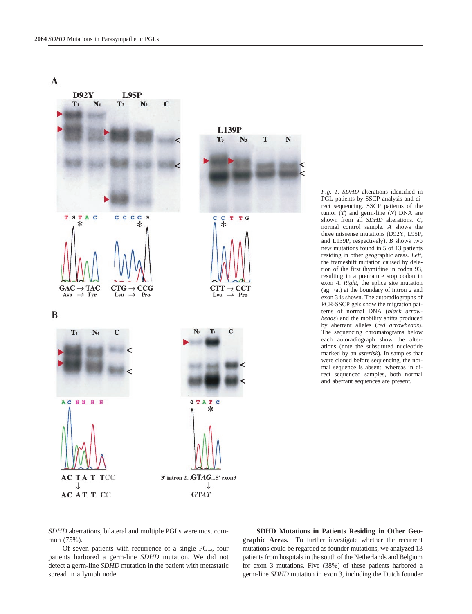$\mathbf{A}$ 



*Fig. 1. SDHD* alterations identified in PGL patients by SSCP analysis and direct sequencing. SSCP patterns of the tumor (*T*) and germ-line (*N*) DNA are shown from all *SDHD* alterations. *C,* normal control sample. *A* shows the three missense mutations (D92Y, L95P, and L139P, respectively). *B* shows two new mutations found in 5 of 13 patients residing in other geographic areas. *Left,* the frameshift mutation caused by deletion of the first thymidine in codon 93, resulting in a premature stop codon in exon 4. *Right,* the splice site mutation (ag $\rightarrow$ at) at the boundary of intron 2 and exon 3 is shown. The autoradiographs of PCR-SSCP gels show the migration patterns of normal DNA (*black arrowheads*) and the mobility shifts produced by aberrant alleles (*red arrowheads*). The sequencing chromatograms below each autoradiograph show the alterations (note the substituted nucleotide marked by an *asterisk*). In samples that were cloned before sequencing, the normal sequence is absent, whereas in direct sequenced samples, both normal and aberrant sequences are present.

*SDHD* aberrations, bilateral and multiple PGLs were most common (75%).

Of seven patients with recurrence of a single PGL, four patients harbored a germ-line *SDHD* mutation. We did not detect a germ-line *SDHD* mutation in the patient with metastatic spread in a lymph node.

**SDHD Mutations in Patients Residing in Other Geographic Areas.** To further investigate whether the recurrent mutations could be regarded as founder mutations, we analyzed 13 patients from hospitals in the south of the Netherlands and Belgium for exon 3 mutations. Five (38%) of these patients harbored a germ-line *SDHD* mutation in exon 3, including the Dutch founder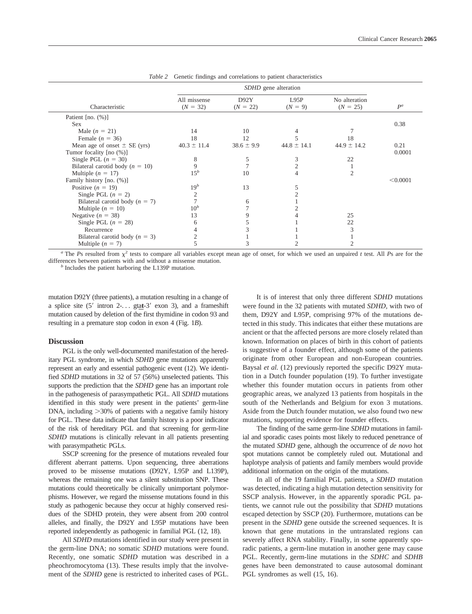|                                     | SDHD gene alteration       |                    |                   |                             |          |
|-------------------------------------|----------------------------|--------------------|-------------------|-----------------------------|----------|
| Characteristic                      | All missense<br>$(N = 32)$ | D92Y<br>$(N = 22)$ | L95P<br>$(N = 9)$ | No alteration<br>$(N = 25)$ | $P^a$    |
| Patient [no. $(\%)$ ]               |                            |                    |                   |                             |          |
| <b>Sex</b>                          |                            |                    |                   |                             | 0.38     |
| Male $(n = 21)$                     | 14                         | 10                 |                   |                             |          |
| Female $(n = 36)$                   | 18                         | 12                 |                   | 18                          |          |
| Mean age of onset $\pm$ SE (yrs)    | $40.3 \pm 11.4$            | $38.6 \pm 9.9$     | $44.8 \pm 14.1$   | $44.9 \pm 14.2$             | 0.21     |
| Tumor focality [no (%)]             |                            |                    |                   |                             | 0.0001   |
| Single PGL $(n = 30)$               | 8                          |                    | 3                 | 22                          |          |
| Bilateral carotid body ( $n = 10$ ) | 9                          |                    |                   |                             |          |
| Multiple $(n = 17)$                 | $15^b$                     | 10                 |                   | $\overline{2}$              |          |
| Family history [no. (%)]            |                            |                    |                   |                             | < 0.0001 |
| Positive $(n = 19)$                 | $19^b$                     | 13                 |                   |                             |          |
| Single PGL $(n = 2)$                |                            |                    |                   |                             |          |
| Bilateral carotid body ( $n = 7$ )  |                            | 6                  |                   |                             |          |
| Multiple $(n = 10)$                 | $10^b$                     |                    |                   |                             |          |
| Negative $(n = 38)$                 | 13                         |                    |                   | 25                          |          |
| Single PGL $(n = 28)$               | 6                          |                    |                   | 22                          |          |
| Recurrence                          |                            |                    |                   | 3                           |          |
| Bilateral carotid body ( $n = 3$ )  |                            |                    |                   |                             |          |
| Multiple $(n = 7)$                  |                            |                    |                   |                             |          |

*Table 2* Genetic findings and correlations to patient characteristics

*a* The *Ps* resulted from  $\chi^2$  tests to compare all variables except mean age of onset, for which we used an unpaired *t* test. All *Ps* are for the differences between patients with and without a missense mutation. *<sup>b</sup>* Includes the patient harboring the L139P mutation.

mutation D92Y (three patients), a mutation resulting in a change of a splice site  $(5'$  intron  $2$ -... gtat-3' exon 3), and a frameshift mutation caused by deletion of the first thymidine in codon 93 and resulting in a premature stop codon in exon 4 (Fig. 1*B*).

#### **Discussion**

PGL is the only well-documented manifestation of the hereditary PGL syndrome, in which *SDHD* gene mutations apparently represent an early and essential pathogenic event (12). We identified *SDHD* mutations in 32 of 57 (56%) unselected patients. This supports the prediction that the *SDHD* gene has an important role in the pathogenesis of parasympathetic PGL. All *SDHD* mutations identified in this study were present in the patients' germ-line  $DNA$ , including  $>30\%$  of patients with a negative family history for PGL. These data indicate that family history is a poor indicator of the risk of hereditary PGL and that screening for germ-line *SDHD* mutations is clinically relevant in all patients presenting with parasympathetic PGLs.

SSCP screening for the presence of mutations revealed four different aberrant patterns. Upon sequencing, three aberrations proved to be missense mutations (D92Y, L95P and L139P), whereas the remaining one was a silent substitution SNP. These mutations could theoretically be clinically unimportant polymorphisms. However, we regard the missense mutations found in this study as pathogenic because they occur at highly conserved residues of the SDHD protein, they were absent from 200 control alleles, and finally, the D92Y and L95P mutations have been reported independently as pathogenic in familial PGL (12, 18).

All *SDHD* mutations identified in our study were present in the germ-line DNA; no somatic *SDHD* mutations were found. Recently, one somatic *SDHD* mutation was described in a pheochromocytoma (13). These results imply that the involvement of the *SDHD* gene is restricted to inherited cases of PGL.

It is of interest that only three different *SDHD* mutations were found in the 32 patients with mutated *SDHD,* with two of them, D92Y and L95P, comprising 97% of the mutations detected in this study. This indicates that either these mutations are ancient or that the affected persons are more closely related than known. Information on places of birth in this cohort of patients is suggestive of a founder effect, although some of the patients originate from other European and non-European countries. Baysal *et al.* (12) previously reported the specific D92Y mutation in a Dutch founder population (19). To further investigate whether this founder mutation occurs in patients from other geographic areas, we analyzed 13 patients from hospitals in the south of the Netherlands and Belgium for exon 3 mutations. Aside from the Dutch founder mutation, we also found two new mutations, supporting evidence for founder effects.

The finding of the same germ-line *SDHD* mutations in familial and sporadic cases points most likely to reduced penetrance of the mutated *SDHD* gene, although the occurrence of *de novo* hot spot mutations cannot be completely ruled out. Mutational and haplotype analysis of patients and family members would provide additional information on the origin of the mutations.

In all of the 19 familial PGL patients, a *SDHD* mutation was detected, indicating a high mutation detection sensitivity for SSCP analysis. However, in the apparently sporadic PGL patients, we cannot rule out the possibility that *SDHD* mutations escaped detection by SSCP (20). Furthermore, mutations can be present in the *SDHD* gene outside the screened sequences. It is known that gene mutations in the untranslated regions can severely affect RNA stability. Finally, in some apparently sporadic patients, a germ-line mutation in another gene may cause PGL. Recently, germ-line mutations in the *SDHC* and *SDHB* genes have been demonstrated to cause autosomal dominant PGL syndromes as well (15, 16).